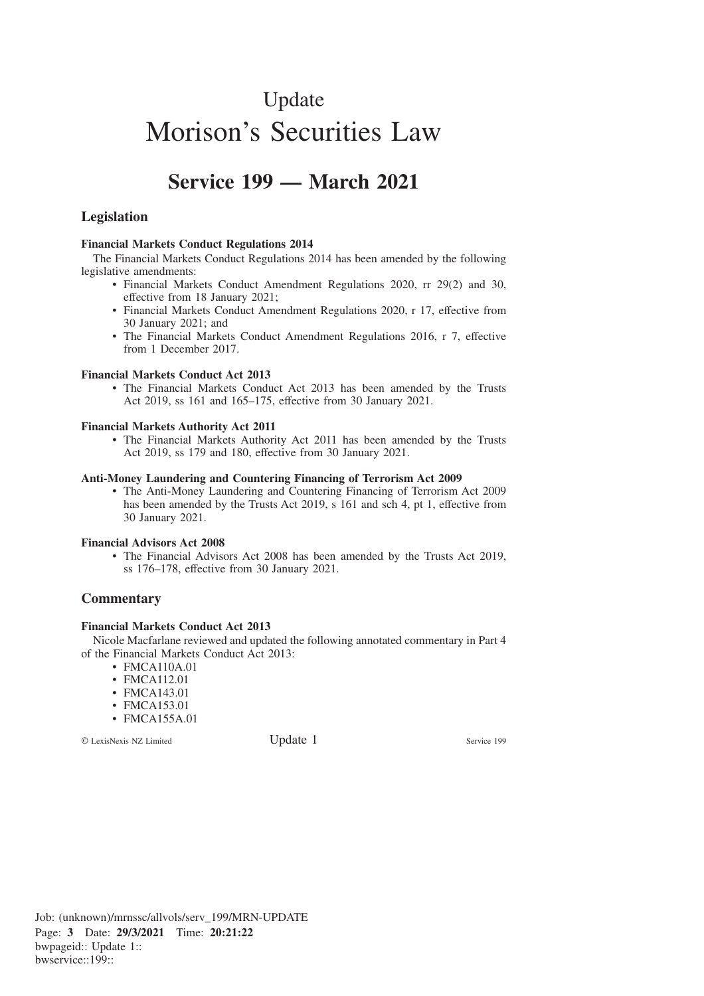# Update Morison's Securities Law

## **Service 199 — March 2021**

### **Legislation**

#### **Financial Markets Conduct Regulations 2014**

The Financial Markets Conduct Regulations 2014 has been amended by the following legislative amendments:

- Financial Markets Conduct Amendment Regulations 2020, rr 29(2) and 30, effective from 18 January 2021;
- Financial Markets Conduct Amendment Regulations 2020, r 17, effective from 30 January 2021; and
- The Financial Markets Conduct Amendment Regulations 2016, r 7, effective from 1 December 2017.

#### **Financial Markets Conduct Act 2013**

• The Financial Markets Conduct Act 2013 has been amended by the Trusts Act 2019, ss 161 and 165–175, effective from 30 January 2021.

#### **Financial Markets Authority Act 2011**

• The Financial Markets Authority Act 2011 has been amended by the Trusts Act 2019, ss 179 and 180, effective from 30 January 2021.

#### **Anti-Money Laundering and Countering Financing of Terrorism Act 2009**

• The Anti-Money Laundering and Countering Financing of Terrorism Act 2009 has been amended by the Trusts Act 2019, s 161 and sch 4, pt 1, effective from 30 January 2021.

#### **Financial Advisors Act 2008**

• The Financial Advisors Act 2008 has been amended by the Trusts Act 2019, ss 176–178, effective from 30 January 2021.

#### **Commentary**

#### **Financial Markets Conduct Act 2013**

Nicole Macfarlane reviewed and updated the following annotated commentary in Part 4 of the Financial Markets Conduct Act 2013:

- FMCA110A.01
- FMCA112.01
- FMCA143.01
- FMCA153.01
- FMCA155A.01

© LexisNexis NZ Limited Update 1 Service 199